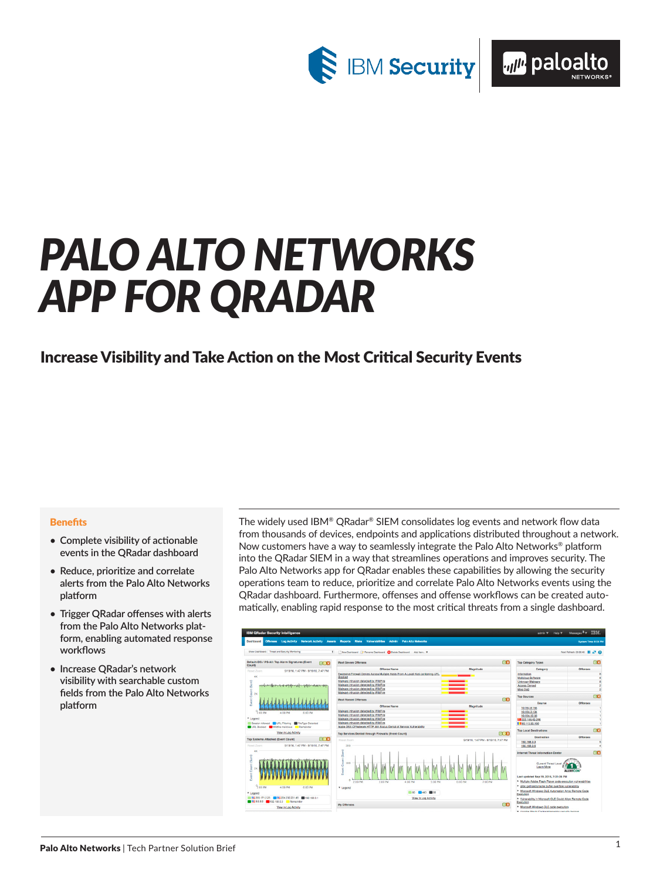

# *PALO ALTO NETWORKS APP FOR QRADAR*

## Increase Visibility and Take Action on the Most Critical Security Events

#### **Benefits**

- **• Complete visibility of actionable events in the QRadar dashboard**
- **• Reduce, prioritize and correlate alerts from the Palo Alto Networks platform**
- **• Trigger QRadar offenses with alerts from the Palo Alto Networks platform, enabling automated response workflows**
- **• Increase QRadar's network visibility with searchable custom fields from the Palo Alto Networks platform**

The widely used IBM® QRadar® SIEM consolidates log events and network flow data from thousands of devices, endpoints and applications distributed throughout a network. Now customers have a way to seamlessly integrate the Palo Alto Networks® platform into the QRadar SIEM in a way that streamlines operations and improves security. The Palo Alto Networks app for QRadar enables these capabilities by allowing the security operations team to reduce, prioritize and correlate Palo Alto Networks events using the QRadar dashboard. Furthermore, offenses and offense workflows can be created automatically, enabling rapid response to the most critical threats from a single dashboard.